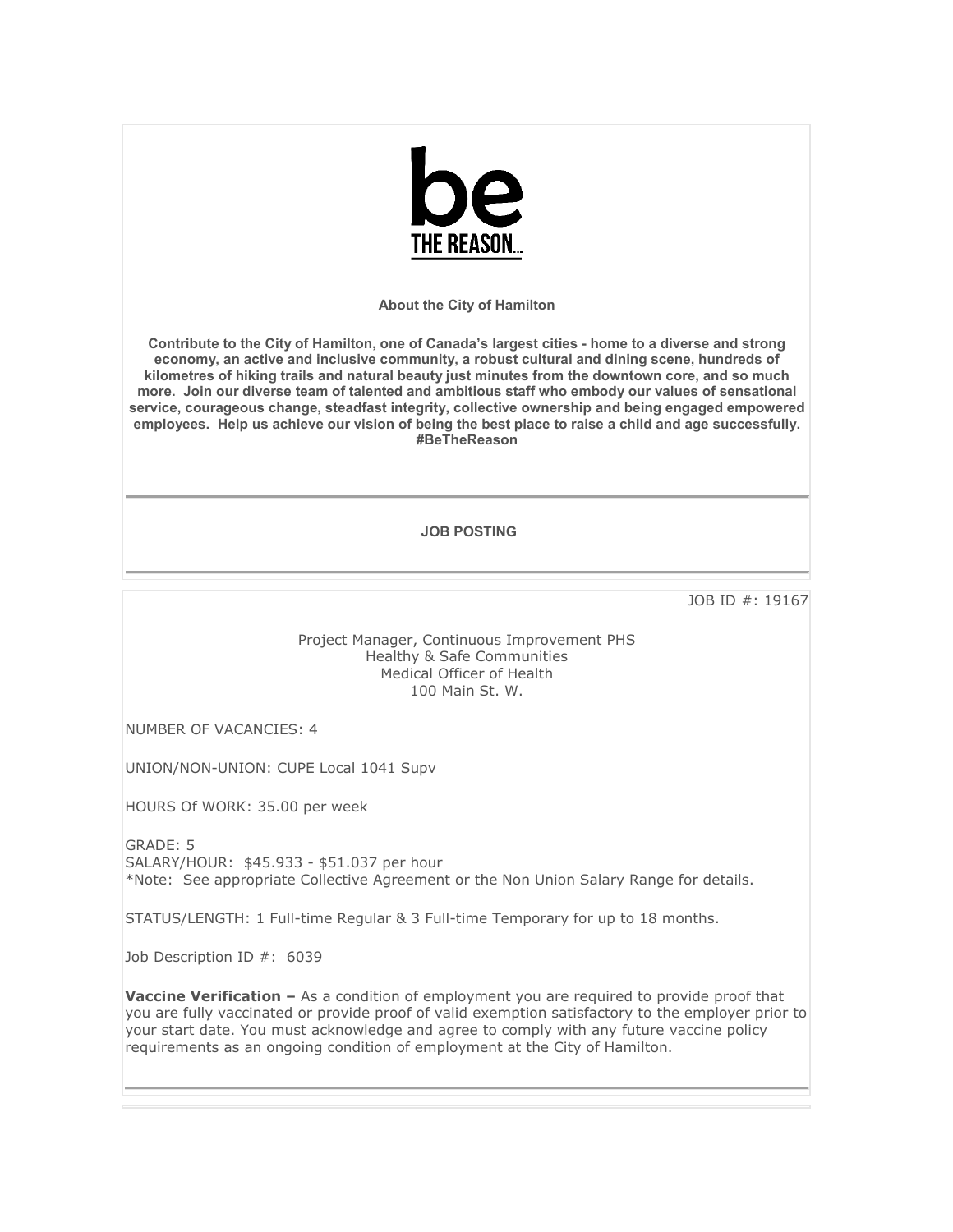

**About the City of Hamilton**

**Contribute to the City of Hamilton, one of Canada's largest cities - home to a diverse and strong economy, an active and inclusive community, a robust cultural and dining scene, hundreds of kilometres of hiking trails and natural beauty just minutes from the downtown core, and so much more. Join our diverse team of talented and ambitious staff who embody our values of sensational service, courageous change, steadfast integrity, collective ownership and being engaged empowered employees. Help us achieve our vision of being the best place to raise a child and age successfully. #BeTheReason** 

## **JOB POSTING**

JOB ID #: 19167

Project Manager, Continuous Improvement PHS Healthy & Safe Communities Medical Officer of Health 100 Main St. W.

NUMBER OF VACANCIES: 4

UNION/NON-UNION: CUPE Local 1041 Supv

HOURS Of WORK: 35.00 per week

GRADE: 5 SALARY/HOUR: \$45.933 - \$51.037 per hour \*Note: See appropriate Collective Agreement or the Non Union Salary Range for details.

STATUS/LENGTH: 1 Full-time Regular & 3 Full-time Temporary for up to 18 months.

Job Description ID #: 6039

**Vaccine Verification -** As a condition of employment you are required to provide proof that you are fully vaccinated or provide proof of valid exemption satisfactory to the employer prior to your start date. You must acknowledge and agree to comply with any future vaccine policy requirements as an ongoing condition of employment at the City of Hamilton.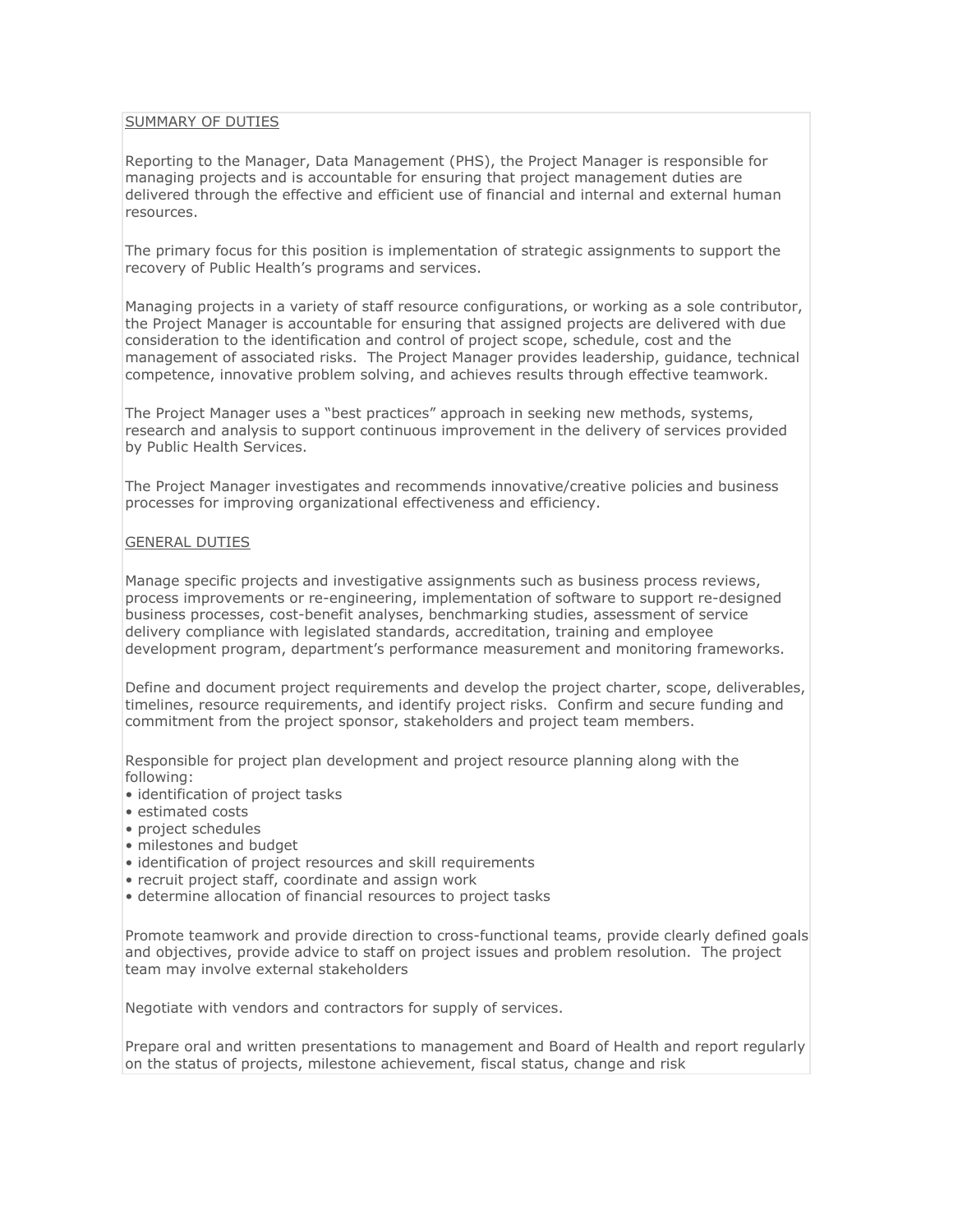## SUMMARY OF DUTIES

Reporting to the Manager, Data Management (PHS), the Project Manager is responsible for managing projects and is accountable for ensuring that project management duties are delivered through the effective and efficient use of financial and internal and external human resources.

The primary focus for this position is implementation of strategic assignments to support the recovery of Public Health's programs and services.

Managing projects in a variety of staff resource configurations, or working as a sole contributor, the Project Manager is accountable for ensuring that assigned projects are delivered with due consideration to the identification and control of project scope, schedule, cost and the management of associated risks. The Project Manager provides leadership, guidance, technical competence, innovative problem solving, and achieves results through effective teamwork.

The Project Manager uses a "best practices" approach in seeking new methods, systems, research and analysis to support continuous improvement in the delivery of services provided by Public Health Services.

The Project Manager investigates and recommends innovative/creative policies and business processes for improving organizational effectiveness and efficiency.

## GENERAL DUTIES

Manage specific projects and investigative assignments such as business process reviews, process improvements or re-engineering, implementation of software to support re-designed business processes, cost-benefit analyses, benchmarking studies, assessment of service delivery compliance with legislated standards, accreditation, training and employee development program, department's performance measurement and monitoring frameworks.

Define and document project requirements and develop the project charter, scope, deliverables, timelines, resource requirements, and identify project risks. Confirm and secure funding and commitment from the project sponsor, stakeholders and project team members.

Responsible for project plan development and project resource planning along with the following:

- identification of project tasks
- estimated costs
- project schedules
- milestones and budget
- identification of project resources and skill requirements
- recruit project staff, coordinate and assign work
- determine allocation of financial resources to project tasks

Promote teamwork and provide direction to cross-functional teams, provide clearly defined goals and objectives, provide advice to staff on project issues and problem resolution. The project team may involve external stakeholders

Negotiate with vendors and contractors for supply of services.

Prepare oral and written presentations to management and Board of Health and report regularly on the status of projects, milestone achievement, fiscal status, change and risk